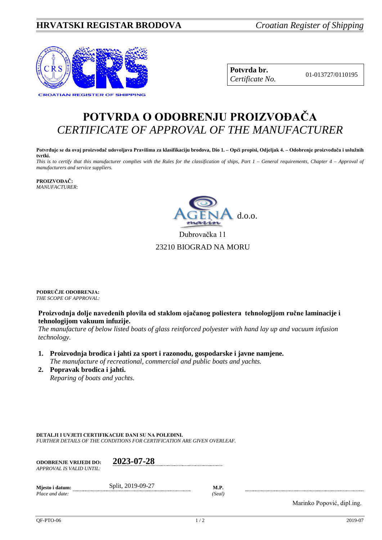## **HRVATSKI REGISTAR BRODOVA** *Croatian Register of Shipping*



**Potvrda br.** 01-013727/0110195 *Certificate No.*

## **POTVRDA O ODOBRENJU PROIZVOĐAČA** *CERTIFICATE OF APPROVAL OF THE MANUFACTURER*

**Potvrđuje se da ovaj proizvođač udovoljava Pravilima za klasifikaciju brodova, Dio 1. – Opći propisi, Odjeljak 4. – Odobrenje proizvođača i uslužnih tvrtki.**

*This is to certify that this manufacturer complies with the Rules for the classification of ships, Part 1 – General requirements, Chapter 4 – Approval of manufacturers and service suppliers.*

**PROIZVOĐAČ:** *MANUFACTURER:*



Dubrovačka 11 23210 BIOGRAD NA MORU

**PODRUČJE ODOBRENJA:** *THE SCOPE OF APPROVAL:*

## **Proizvodnja dolje navedenih plovila od staklom ojačanog poliestera tehnologijom ručne laminacije i tehnologijom vakuum infuzije.**

*The manufacture of below listed boats of glass reinforced polyester with hand lay up and vacuum infusion technology.*

- **1. Proizvodnja brodica i jahti za sport i razonodu, gospodarske i javne namjene.** *The manufacture of recreational, commercial and public boats and yachts.*
- **2. Popravak brodica i jahti.** *Reparing of boats and yachts.*

**DETALJI I UVJETI CERTIFIKACIJE DANI SU NA POLEĐINI.** *FURTHER DETAILS OF THE CONDITIONS FOR CERTIFICATION ARE GIVEN OVERLEAF.*

| <b>ODOBRENJE VRLJEDI DO:</b><br>APPROVAL IS VALID UNTIL: | 2023-07-28        |                       |
|----------------------------------------------------------|-------------------|-----------------------|
| Mjesto i datum:<br>Place and date:                       | Split, 2019-09-27 | <b>M.P.</b><br>(Seal) |

Marinko Popović, dipl.ing.